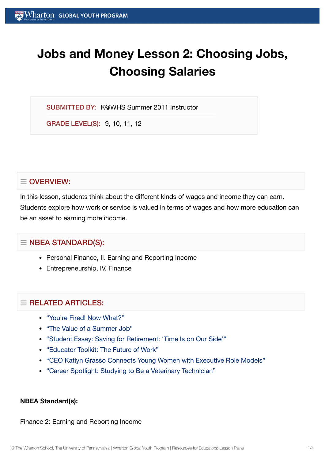# **Jobs and Money Lesson 2: Choosing Jobs, Choosing Salaries**

SUBMITTED BY: K@WHS Summer 2011 Instructor

GRADE LEVEL(S): 9, 10, 11, 12

# $\equiv$  OVERVIEW:

In this lesson, students think about the different kinds of wages and income they can earn. Students explore how work or service is valued in terms of wages and how more education can be an asset to earning more income.

# $\equiv$  NBEA STANDARD(S):

- Personal Finance, II. Earning and Reporting Income
- Entrepreneurship, IV. Finance

# $=$  RELATED ARTICLES:

- "You're Fired! Now [What?"](https://globalyouth.wharton.upenn.edu/articles/youre-fired-now-what/)
- "The Value of a [Summer](https://globalyouth.wharton.upenn.edu/articles/value-summer-job/) Job"
- "Student Essay: Saving for [Retirement:](https://globalyouth.wharton.upenn.edu/articles/saving-retirement-time-side/) 'Time Is on Our Side'"
- ["Educator](https://globalyouth.wharton.upenn.edu/articles/educator-toolkit-future-work/) Toolkit: The Future of Work"
- "CEO Katlyn Grasso [Connects Young](https://globalyouth.wharton.upenn.edu/articles/katlyn-grasso-young-women-executive-role-models/) Women with Executive Role Models"
- "Career Spotlight: Studying to Be a [Veterinary Technician"](https://globalyouth.wharton.upenn.edu/articles/career-spotlight-studying-to-be-a-veterinary-technician/)

#### **NBEA Standard(s):**

Finance 2: Earning and Reporting Income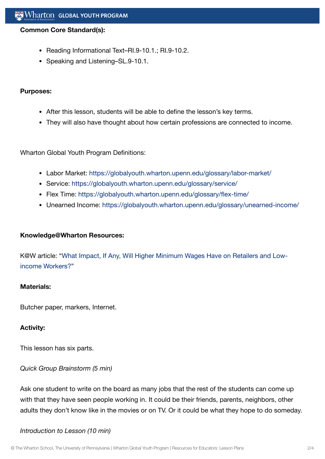#### **Common Core Standard(s):**

- Reading Informational Text-RI.9-10.1.; RI.9-10.2.
- Speaking and Listening–SL.9-10.1.

#### **Purposes:**

- After this lesson, students will be able to define the lesson's key terms.
- They will also have thought about how certain professions are connected to income.

Wharton Global Youth Program Definitions:

- Labor Market: <https://globalyouth.wharton.upenn.edu/glossary/labor-market/>
- Service: <https://globalyouth.wharton.upenn.edu/glossary/service/>
- Flex Time: <https://globalyouth.wharton.upenn.edu/glossary/flex-time/>
- Unearned Income: <https://globalyouth.wharton.upenn.edu/glossary/unearned-income/>

#### **Knowledge@Wharton Resources:**

K@W article: "What Impact, If Any, Will Higher Minimum Wages Have on [Retailers and](http://knowledge.wharton.upenn.edu/article.cfm?articleid=1551) Lowincome Workers?"

#### **Materials:**

Butcher paper, markers, Internet.

### **Activity:**

This lesson has six parts.

*Quick Group Brainstorm (5 min)*

Ask one student to write on the board as many jobs that the rest of the students can come up with that they have seen people working in. It could be their friends, parents, neighbors, other adults they don't know like in the movies or on TV. Or it could be what they hope to do someday.

### *Introduction to Lesson (10 min)*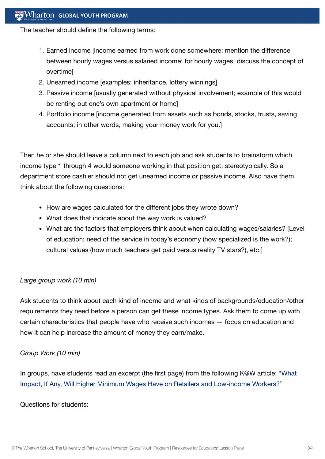The teacher should define the following terms:

- 1. Earned income [income earned from work done somewhere; mention the difference between hourly wages versus salaried income; for hourly wages, discuss the concept of overtime]
- 2. Unearned income [examples: inheritance, lottery winnings]
- 3. Passive income [usually generated without physical involvement; example of this would be renting out one's own apartment or home]
- 4. Portfolio income [income generated from assets such as bonds, stocks, trusts, saving accounts; in other words, making your money work for you.]

Then he or she should leave a column next to each job and ask students to brainstorm which income type 1 through 4 would someone working in that position get, stereotypically. So a department store cashier should not get unearned income or passive income. Also have them think about the following questions:

- How are wages calculated for the different jobs they wrote down?
- What does that indicate about the way work is valued?
- What are the factors that employers think about when calculating wages/salaries? [Level of education; need of the service in today's economy (how specialized is the work?); cultural values (how much teachers get paid versus reality TV stars?), etc.]

# *Large group work (10 min)*

Ask students to think about each kind of income and what kinds of backgrounds/education/other requirements they need before a person can get these income types. Ask them to come up with certain characteristics that people have who receive such incomes — focus on education and how it can help increase the amount of money they earn/make.

# *Group Work (10 min)*

In groups, have [students read](http://knowledge.wharton.upenn.edu/article.cfm?articleid=1551) an excerpt (the first page) from the following K@W article: "What Impact, If Any, Will Higher Minimum Wages Have on Retailers and Low-income Workers?"

### Questions for students: